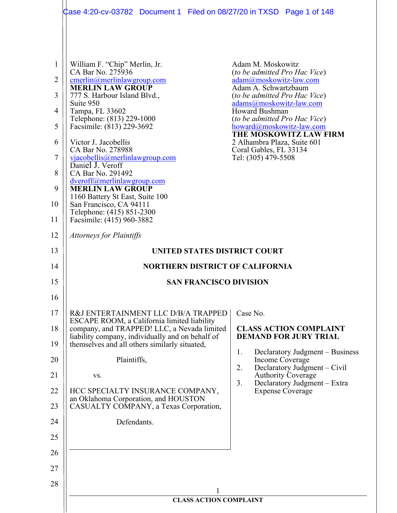|                                                             | Case 4:20-cv-03782  Document 1  Filed on 08/27/20 in TXSD  Page 1 of 148                                                                                                                                                                                                                                                                                                                                                                                                                                                                                                           |                                                                                                                                                                                                                                                                                                                                                                  |  |  |
|-------------------------------------------------------------|------------------------------------------------------------------------------------------------------------------------------------------------------------------------------------------------------------------------------------------------------------------------------------------------------------------------------------------------------------------------------------------------------------------------------------------------------------------------------------------------------------------------------------------------------------------------------------|------------------------------------------------------------------------------------------------------------------------------------------------------------------------------------------------------------------------------------------------------------------------------------------------------------------------------------------------------------------|--|--|
| 1<br>2<br>3<br>4<br>5<br>6<br>7<br>8<br>9<br>10<br>11<br>12 | William F. "Chip" Merlin, Jr.<br>CA Bar No. 275936<br>cmerlin@merlinlawgroup.com<br><b>MERLIN LAW GROUP</b><br>777 S. Harbour Island Blvd.,<br>Suite 950<br>Tampa, FL 33602<br>Telephone: (813) 229-1000<br>Facsimile: (813) 229-3692<br>Victor J. Jacobellis<br>CA Bar No. 278988<br>via cobellis@merlinlawgroup.com<br>Daniel J. Veroff<br>CA Bar No. 291492<br>dveroff@merlinlawgroup.com<br><b>MERLIN LAW GROUP</b><br>1160 Battery St East, Suite 100<br>San Francisco, CA 94111<br>Telephone: (415) 851-2300<br>Facsimile: (415) 960-3882<br><b>Attorneys for Plaintiffs</b> | Adam M. Moskowitz<br>(to be admitted Pro Hac Vice)<br>adam@moskowitz-law.com<br>Adam A. Schwartzbaum<br>(to be admitted Pro Hac Vice)<br>adams@moskowitz-law.com<br>Howard Bushman<br>(to be admitted Pro Hac Vice)<br>howard@moskowitz-law.com<br><b>THE MOSKOWITZ LAW FIRM</b><br>2 Alhambra Plaza, Suite 601<br>Coral Gables, FL 33134<br>Tel: (305) 479-5508 |  |  |
| 13                                                          | UNITED STATES DISTRICT COURT                                                                                                                                                                                                                                                                                                                                                                                                                                                                                                                                                       |                                                                                                                                                                                                                                                                                                                                                                  |  |  |
| 14                                                          | <b>NORTHERN DISTRICT OF CALIFORNIA</b>                                                                                                                                                                                                                                                                                                                                                                                                                                                                                                                                             |                                                                                                                                                                                                                                                                                                                                                                  |  |  |
| 15                                                          | <b>SAN FRANCISCO DIVISION</b>                                                                                                                                                                                                                                                                                                                                                                                                                                                                                                                                                      |                                                                                                                                                                                                                                                                                                                                                                  |  |  |
| 16                                                          |                                                                                                                                                                                                                                                                                                                                                                                                                                                                                                                                                                                    |                                                                                                                                                                                                                                                                                                                                                                  |  |  |
| 17                                                          | R&J ENTERTAINMENT LLC D/B/A TRAPPED<br>ESCAPE ROOM, a California limited liability                                                                                                                                                                                                                                                                                                                                                                                                                                                                                                 | Case No.                                                                                                                                                                                                                                                                                                                                                         |  |  |
| 18<br>19                                                    | company, and TRAPPED! LLC, a Nevada limited<br>liability company, individually and on behalf of<br>themselves and all others similarly situated,                                                                                                                                                                                                                                                                                                                                                                                                                                   | <b>CLASS ACTION COMPLAINT</b><br><b>DEMAND FOR JURY TRIAL</b>                                                                                                                                                                                                                                                                                                    |  |  |
| 20                                                          | Plaintiffs,                                                                                                                                                                                                                                                                                                                                                                                                                                                                                                                                                                        | Declaratory Judgment – Business<br>1.<br>Income Coverage                                                                                                                                                                                                                                                                                                         |  |  |
| 21                                                          | VS.                                                                                                                                                                                                                                                                                                                                                                                                                                                                                                                                                                                | Declaratory Judgment – Civil<br>2.<br><b>Authority Coverage</b>                                                                                                                                                                                                                                                                                                  |  |  |
| 22                                                          | HCC SPECIALTY INSURANCE COMPANY,                                                                                                                                                                                                                                                                                                                                                                                                                                                                                                                                                   | Declaratory Judgment - Extra<br>3.<br><b>Expense Coverage</b>                                                                                                                                                                                                                                                                                                    |  |  |
| 23                                                          | an Oklahoma Corporation, and HOUSTON<br>CASUALTY COMPANY, a Texas Corporation,                                                                                                                                                                                                                                                                                                                                                                                                                                                                                                     |                                                                                                                                                                                                                                                                                                                                                                  |  |  |
| 24                                                          | Defendants.                                                                                                                                                                                                                                                                                                                                                                                                                                                                                                                                                                        |                                                                                                                                                                                                                                                                                                                                                                  |  |  |
| 25                                                          |                                                                                                                                                                                                                                                                                                                                                                                                                                                                                                                                                                                    |                                                                                                                                                                                                                                                                                                                                                                  |  |  |
| 26                                                          |                                                                                                                                                                                                                                                                                                                                                                                                                                                                                                                                                                                    |                                                                                                                                                                                                                                                                                                                                                                  |  |  |
| 27                                                          |                                                                                                                                                                                                                                                                                                                                                                                                                                                                                                                                                                                    |                                                                                                                                                                                                                                                                                                                                                                  |  |  |
| 28                                                          |                                                                                                                                                                                                                                                                                                                                                                                                                                                                                                                                                                                    |                                                                                                                                                                                                                                                                                                                                                                  |  |  |
|                                                             | <b>CLASS ACTION COMPLAINT</b>                                                                                                                                                                                                                                                                                                                                                                                                                                                                                                                                                      |                                                                                                                                                                                                                                                                                                                                                                  |  |  |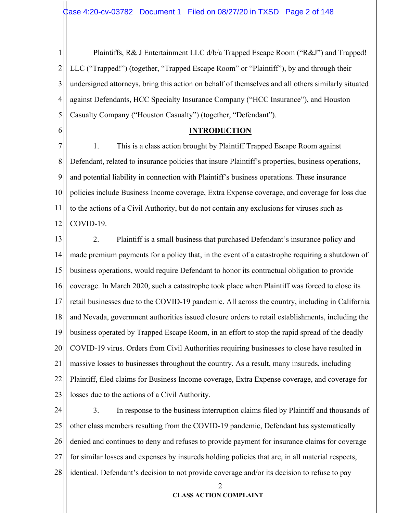$\mathbf{1}$ Plaintiffs, R& J Entertainment LLC d/b/a Trapped Escape Room ("R&J") and Trapped!  $\overline{2}$ LLC ("Trapped!") (together, "Trapped Escape Room" or "Plaintiff"), by and through their 3 undersigned attorneys, bring this action on behalf of themselves and all others similarly situated 4 against Defendants, HCC Specialty Insurance Company ("HCC Insurance"), and Houston 5 Casualty Company ("Houston Casualty") (together, "Defendant").

#### **INTRODUCTION**

6

7 1. This is a class action brought by Plaintiff Trapped Escape Room against 8 Defendant, related to insurance policies that insure Plaintiff's properties, business operations, 9 and potential liability in connection with Plaintiff's business operations. These insurance 10 policies include Business Income coverage, Extra Expense coverage, and coverage for loss due 11 to the actions of a Civil Authority, but do not contain any exclusions for viruses such as 12 COVID-19.

 $2.$ 13 Plaintiff is a small business that purchased Defendant's insurance policy and 14 made premium payments for a policy that, in the event of a catastrophe requiring a shutdown of 15 business operations, would require Defendant to honor its contractual obligation to provide 16 coverage. In March 2020, such a catastrophe took place when Plaintiff was forced to close its 17 retail businesses due to the COVID-19 pandemic. All across the country, including in California 18 and Nevada, government authorities issued closure orders to retail establishments, including the 19 business operated by Trapped Escape Room, in an effort to stop the rapid spread of the deadly 20 COVID-19 virus. Orders from Civil Authorities requiring businesses to close have resulted in 21 massive losses to businesses throughout the country. As a result, many insureds, including 22 Plaintiff, filed claims for Business Income coverage, Extra Expense coverage, and coverage for 23 losses due to the actions of a Civil Authority.

24  $3.$ In response to the business interruption claims filed by Plaintiff and thousands of 25 other class members resulting from the COVID-19 pandemic, Defendant has systematically 26 denied and continues to deny and refuses to provide payment for insurance claims for coverage 27 for similar losses and expenses by insureds holding policies that are, in all material respects, 28 identical. Defendant's decision to not provide coverage and/or its decision to refuse to pay

2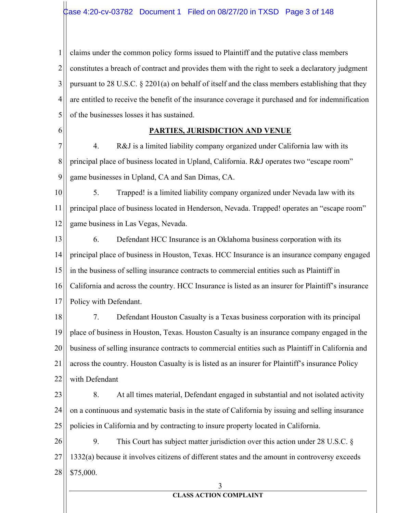1  $\overline{2}$ 3 4 5 claims under the common policy forms issued to Plaintiff and the putative class members constitutes a breach of contract and provides them with the right to seek a declaratory judgment pursuant to 28 U.S.C.  $\S$  2201(a) on behalf of itself and the class members establishing that they are entitled to receive the benefit of the insurance coverage it purchased and for indemnification of the businesses losses it has sustained.

6

### **PARTIES, JURISDICTION AND VENUE**

7 8 9 4. R&J is a limited liability company organized under California law with its principal place of business located in Upland, California. R&J operates two "escape room" game businesses in Upland, CA and San Dimas, CA.

10 11 12 5. Trapped! is a limited liability company organized under Nevada law with its principal place of business located in Henderson, Nevada. Trapped! operates an "escape room" game business in Las Vegas, Nevada.

13 14 15 16 17 6. Defendant HCC Insurance is an Oklahoma business corporation with its principal place of business in Houston, Texas. HCC Insurance is an insurance company engaged in the business of selling insurance contracts to commercial entities such as Plaintiff in California and across the country. HCC Insurance is listed as an insurer for Plaintiff's insurance Policy with Defendant.

18 19 20 21 22 7. Defendant Houston Casualty is a Texas business corporation with its principal place of business in Houston, Texas. Houston Casualty is an insurance company engaged in the business of selling insurance contracts to commercial entities such as Plaintiff in California and across the country. Houston Casualty is is listed as an insurer for Plaintiff's insurance Policy with Defendant

23 24 25 8. At all times material, Defendant engaged in substantial and not isolated activity on a continuous and systematic basis in the state of California by issuing and selling insurance policies in California and by contracting to insure property located in California.

26 27 28 9. This Court has subject matter jurisdiction over this action under 28 U.S.C.  $\S$ 1332(a) because it involves citizens of different states and the amount in controversy exceeds \$75,000.

#### 3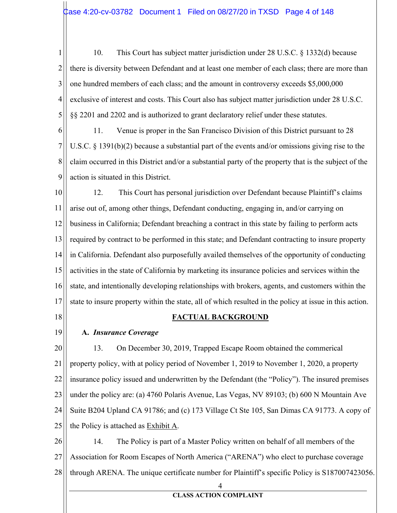10. This Court has subject matter jurisdiction under 28 U.S.C. § 1332(d) because 1  $\overline{2}$ there is diversity between Defendant and at least one member of each class; there are more than 3 one hundred members of each class; and the amount in controversy exceeds \$5,000,000 4 exclusive of interest and costs. This Court also has subject matter jurisdiction under 28 U.S.C. 5 §§ 2201 and 2202 and is authorized to grant declaratory relief under these statutes.

6 11. Venue is proper in the San Francisco Division of this District pursuant to 28 7 U.S.C.  $\S$  1391(b)(2) because a substantial part of the events and/or omissions giving rise to the 8 claim occurred in this District and/or a substantial party of the property that is the subject of the 9 action is situated in this District.

10 12. This Court has personal jurisdiction over Defendant because Plaintiff's claims 11 arise out of, among other things, Defendant conducting, engaging in, and/or carrying on 12 business in California; Defendant breaching a contract in this state by failing to perform acts required by contract to be performed in this state; and Defendant contracting to insure property 13 14 in California. Defendant also purposefully availed themselves of the opportunity of conducting 15 activities in the state of California by marketing its insurance policies and services within the 16 state, and intentionally developing relationships with brokers, agents, and customers within the 17 state to insure property within the state, all of which resulted in the policy at issue in this action.

18

# **FACTUAL BACKGROUND**

19

# A. Insurance Coverage

20 13. On December 30, 2019, Trapped Escape Room obtained the commerical property policy, with at policy period of November 1, 2019 to November 1, 2020, a property 21 22 insurance policy issued and underwritten by the Defendant (the "Policy"). The insured premises 23 under the policy are: (a) 4760 Polaris Avenue, Las Vegas, NV 89103; (b) 600 N Mountain Ave 24 Suite B204 Upland CA 91786; and (c) 173 Village Ct Ste 105, San Dimas CA 91773. A copy of the Policy is attached as Exhibit A. 25

26 14. The Policy is part of a Master Policy written on behalf of all members of the 27 Association for Room Escapes of North America ("ARENA") who elect to purchase coverage 28 through ARENA. The unique certificate number for Plaintiff's specific Policy is S187007423056.

4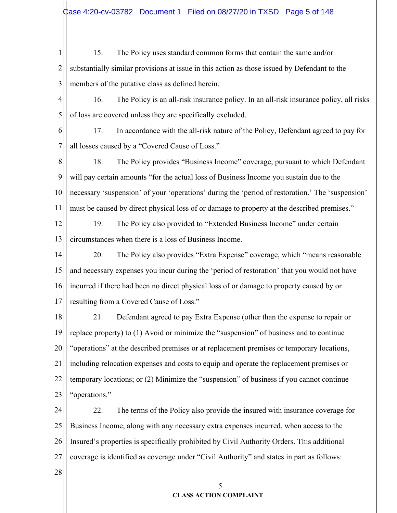15. The Policy uses standard common forms that contain the same and/or  $\mathbf{1}$  $\overline{2}$ substantially similar provisions at issue in this action as those issued by Defendant to the 3 members of the putative class as defined herein.

4 16. The Policy is an all-risk insurance policy. In an all-risk insurance policy, all risks 5 of loss are covered unless they are specifically excluded.

17. In accordance with the all-risk nature of the Policy, Defendant agreed to pay for 6 7 all losses caused by a "Covered Cause of Loss."

8 18. The Policy provides "Business Income" coverage, pursuant to which Defendant 9 will pay certain amounts "for the actual loss of Business Income you sustain due to the 10 necessary 'suspension' of your 'operations' during the 'period of restoration.' The 'suspension' must be caused by direct physical loss of or damage to property at the described premises." 11

12 19. The Policy also provided to "Extended Business Income" under certain circumstances when there is a loss of Business Income. 13

14 20. The Policy also provides "Extra Expense" coverage, which "means reasonable" 15 and necessary expenses you incur during the 'period of restoration' that you would not have 16 incurred if there had been no direct physical loss of or damage to property caused by or resulting from a Covered Cause of Loss." 17

18 21. Defendant agreed to pay Extra Expense (other than the expense to repair or 19 replace property) to (1) Avoid or minimize the "suspension" of business and to continue 20 "operations" at the described premises or at replacement premises or temporary locations, including relocation expenses and costs to equip and operate the replacement premises or 21 22 temporary locations; or (2) Minimize the "suspension" of business if you cannot continue 23 "operations."

22. 24 The terms of the Policy also provide the insured with insurance coverage for 25 Business Income, along with any necessary extra expenses incurred, when access to the 26 Insured's properties is specifically prohibited by Civil Authority Orders. This additional 27 coverage is identified as coverage under "Civil Authority" and states in part as follows:

28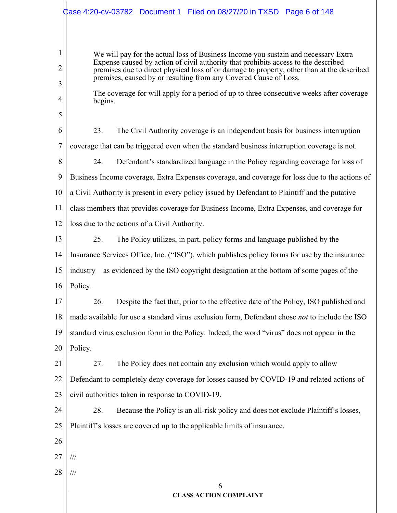|             | $\updownarrow$ ase 4:20-cv-03782 $\,$ Document 1 $\,$ Filed on 08/27/20 in TXSD $\,$ Page 6 of 148                                                                                                                                                                                                                                         |
|-------------|--------------------------------------------------------------------------------------------------------------------------------------------------------------------------------------------------------------------------------------------------------------------------------------------------------------------------------------------|
|             |                                                                                                                                                                                                                                                                                                                                            |
| 1<br>2<br>3 | We will pay for the actual loss of Business Income you sustain and necessary Extra<br>Expense caused by action of civil authority that prohibits access to the described<br>premises due to direct physical loss of or damage to property, other than at the described<br>premises, caused by or resulting from any Covered Cause of Loss. |
| 4           | The coverage for will apply for a period of up to three consecutive weeks after coverage<br>begins.                                                                                                                                                                                                                                        |
| 5           |                                                                                                                                                                                                                                                                                                                                            |
| 6           | 23.<br>The Civil Authority coverage is an independent basis for business interruption                                                                                                                                                                                                                                                      |
| 7           | coverage that can be triggered even when the standard business interruption coverage is not.                                                                                                                                                                                                                                               |
| 8           | 24.<br>Defendant's standardized language in the Policy regarding coverage for loss of                                                                                                                                                                                                                                                      |
| 9           | Business Income coverage, Extra Expenses coverage, and coverage for loss due to the actions of                                                                                                                                                                                                                                             |
| 10          | a Civil Authority is present in every policy issued by Defendant to Plaintiff and the putative                                                                                                                                                                                                                                             |
| 11          | class members that provides coverage for Business Income, Extra Expenses, and coverage for                                                                                                                                                                                                                                                 |
| 12          | loss due to the actions of a Civil Authority.                                                                                                                                                                                                                                                                                              |
| 13          | 25.<br>The Policy utilizes, in part, policy forms and language published by the                                                                                                                                                                                                                                                            |
| 14          | Insurance Services Office, Inc. ("ISO"), which publishes policy forms for use by the insurance                                                                                                                                                                                                                                             |
| 15          | industry—as evidenced by the ISO copyright designation at the bottom of some pages of the                                                                                                                                                                                                                                                  |
| 16          | Policy.                                                                                                                                                                                                                                                                                                                                    |
| 17          | 26.<br>Despite the fact that, prior to the effective date of the Policy, ISO published and                                                                                                                                                                                                                                                 |
| 18          | made available for use a standard virus exclusion form, Defendant chose not to include the ISO                                                                                                                                                                                                                                             |
| 19          | standard virus exclusion form in the Policy. Indeed, the word "virus" does not appear in the                                                                                                                                                                                                                                               |
| 20          | Policy.                                                                                                                                                                                                                                                                                                                                    |
| 21          | 27.<br>The Policy does not contain any exclusion which would apply to allow                                                                                                                                                                                                                                                                |
| 22          | Defendant to completely deny coverage for losses caused by COVID-19 and related actions of                                                                                                                                                                                                                                                 |
| 23          | civil authorities taken in response to COVID-19.                                                                                                                                                                                                                                                                                           |
| 24          | 28.<br>Because the Policy is an all-risk policy and does not exclude Plaintiff's losses,                                                                                                                                                                                                                                                   |
| 25          | Plaintiff's losses are covered up to the applicable limits of insurance.                                                                                                                                                                                                                                                                   |
| 26          |                                                                                                                                                                                                                                                                                                                                            |
| 27          | $\frac{1}{1}$                                                                                                                                                                                                                                                                                                                              |
| 28          | $/\!/ \!/$                                                                                                                                                                                                                                                                                                                                 |
|             | 6                                                                                                                                                                                                                                                                                                                                          |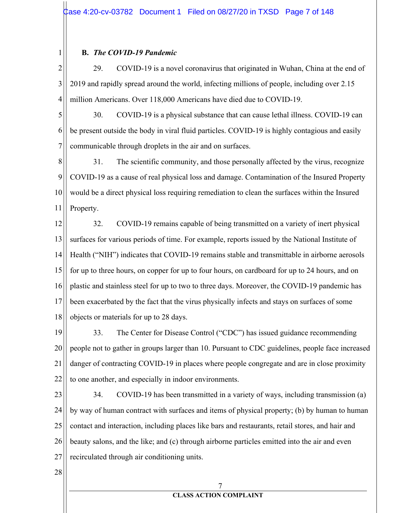#### **B.** The COVID-19 Pandemic

 $\mathbf{1}$ 

 $\overline{2}$ 29. COVID-19 is a novel coronavirus that originated in Wuhan, China at the end of 3 2019 and rapidly spread around the world, infecting millions of people, including over 2.15 4 million Americans. Over 118,000 Americans have died due to COVID-19.

30. 5 COVID-19 is a physical substance that can cause lethal illness. COVID-19 can 6 be present outside the body in viral fluid particles. COVID-19 is highly contagious and easily  $\tau$ communicable through droplets in the air and on surfaces.

8 31. The scientific community, and those personally affected by the virus, recognize 9 COVID-19 as a cause of real physical loss and damage. Contamination of the Insured Property 10 would be a direct physical loss requiring remediation to clean the surfaces within the Insured 11 Property.

12 32. COVID-19 remains capable of being transmitted on a variety of inert physical 13 surfaces for various periods of time. For example, reports issued by the National Institute of 14 Health ("NIH") indicates that COVID-19 remains stable and transmittable in airborne aerosols 15 for up to three hours, on copper for up to four hours, on cardboard for up to 24 hours, and on 16 plastic and stainless steel for up to two to three days. Moreover, the COVID-19 pandemic has 17 been exacerbated by the fact that the virus physically infects and stays on surfaces of some 18 objects or materials for up to 28 days.

19 33. The Center for Disease Control ("CDC") has issued guidance recommending 20 people not to gather in groups larger than 10. Pursuant to CDC guidelines, people face increased 21 danger of contracting COVID-19 in places where people congregate and are in close proximity 22 to one another, and especially in indoor environments.

23 34. COVID-19 has been transmitted in a variety of ways, including transmission (a) 24 by way of human contract with surfaces and items of physical property; (b) by human to human 25 contact and interaction, including places like bars and restaurants, retail stores, and hair and 26 beauty salons, and the like; and (c) through airborne particles emitted into the air and even 27 recirculated through air conditioning units.

28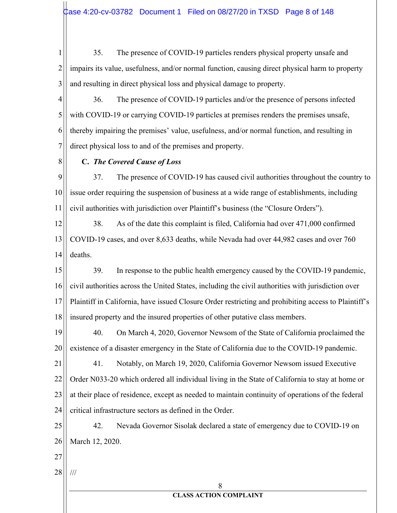35. The presence of COVID-19 particles renders physical property unsafe and 1  $\overline{2}$ impairs its value, usefulness, and/or normal function, causing direct physical harm to property 3 and resulting in direct physical loss and physical damage to property.

4 36. The presence of COVID-19 particles and/or the presence of persons infected 5 with COVID-19 or carrying COVID-19 particles at premises renders the premises unsafe, 6 thereby impairing the premises' value, usefulness, and/or normal function, and resulting in 7 direct physical loss to and of the premises and property.

8

# C. The Covered Cause of Loss

9 37. The presence of COVID-19 has caused civil authorities throughout the country to issue order requiring the suspension of business at a wide range of establishments, including 10  $11$ civil authorities with jurisdiction over Plaintiff's business (the "Closure Orders").

12 38. As of the date this complaint is filed, California had over 471,000 confirmed COVID-19 cases, and over 8,633 deaths, while Nevada had over 44,982 cases and over 760 13 14 deaths.

15 39. In response to the public health emergency caused by the COVID-19 pandemic, civil authorities across the United States, including the civil authorities with jurisdiction over 16 Plaintiff in California, have issued Closure Order restricting and prohibiting access to Plaintiff's 17 18 insured property and the insured properties of other putative class members.

40. 19 On March 4, 2020, Governor Newsom of the State of California proclaimed the 20 existence of a disaster emergency in the State of California due to the COVID-19 pandemic.

21 41. Notably, on March 19, 2020, California Governor Newsom issued Executive 22 Order N033-20 which ordered all individual living in the State of California to stay at home or 23 at their place of residence, except as needed to maintain continuity of operations of the federal 24 critical infrastructure sectors as defined in the Order.

25 Nevada Governor Sisolak declared a state of emergency due to COVID-19 on 42. 26 March 12, 2020.

- 27
- 28  $/ \! / \! /$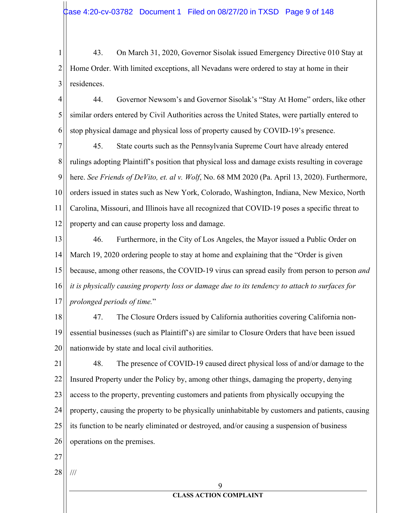43. On March 31, 2020, Governor Sisolak issued Emergency Directive 010 Stay at 1  $\overline{2}$ Home Order. With limited exceptions, all Nevadans were ordered to stay at home in their 3 residences.

4 44. Governor Newsom's and Governor Sisolak's "Stay At Home" orders, like other 5 similar orders entered by Civil Authorities across the United States, were partially entered to 6 stop physical damage and physical loss of property caused by COVID-19's presence.

7 45. State courts such as the Pennsylvania Supreme Court have already entered 8 rulings adopting Plaintiff's position that physical loss and damage exists resulting in coverage 9 here. See Friends of DeVito, et. al v. Wolf, No. 68 MM 2020 (Pa. April 13, 2020). Furthermore, orders issued in states such as New York, Colorado, Washington, Indiana, New Mexico, North 10 11 Carolina, Missouri, and Illinois have all recognized that COVID-19 poses a specific threat to 12 property and can cause property loss and damage.

13 46. Furthermore, in the City of Los Angeles, the Mayor issued a Public Order on 14 March 19, 2020 ordering people to stay at home and explaining that the "Order is given 15 because, among other reasons, the COVID-19 virus can spread easily from person to person and 16 it is physically causing property loss or damage due to its tendency to attach to surfaces for 17 prolonged periods of time."

47. 18 The Closure Orders issued by California authorities covering California non-19 essential businesses (such as Plaintiff's) are similar to Closure Orders that have been issued 20 nationwide by state and local civil authorities.

48. The presence of COVID-19 caused direct physical loss of and/or damage to the 21 22 Insured Property under the Policy by, among other things, damaging the property, denying 23 access to the property, preventing customers and patients from physically occupying the 24 property, causing the property to be physically uninhabitable by customers and patients, causing 25 its function to be nearly eliminated or destroyed, and/or causing a suspension of business 26 operations on the premises.

- $27$
- 28  $/ \! / \! /$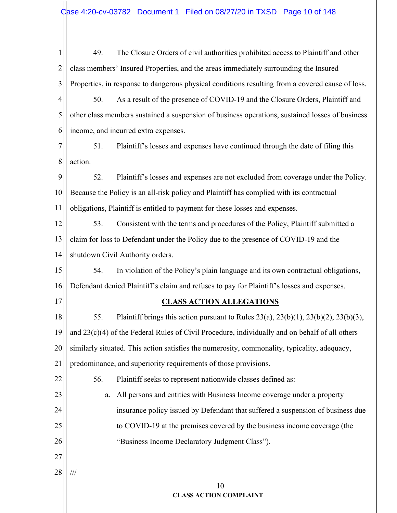| $\mathbf{1}$ | 49.<br>The Closure Orders of civil authorities prohibited access to Plaintiff and other                |
|--------------|--------------------------------------------------------------------------------------------------------|
| 2            | class members' Insured Properties, and the areas immediately surrounding the Insured                   |
| 3            | Properties, in response to dangerous physical conditions resulting from a covered cause of loss.       |
| 4            | As a result of the presence of COVID-19 and the Closure Orders, Plaintiff and<br>50.                   |
| 5            | other class members sustained a suspension of business operations, sustained losses of business        |
| 6            | income, and incurred extra expenses.                                                                   |
| 7            | 51.<br>Plaintiff's losses and expenses have continued through the date of filing this                  |
| 8            | action.                                                                                                |
| 9            | 52.<br>Plaintiff's losses and expenses are not excluded from coverage under the Policy.                |
| 10           | Because the Policy is an all-risk policy and Plaintiff has complied with its contractual               |
| 11           | obligations, Plaintiff is entitled to payment for these losses and expenses.                           |
| 12           | 53.<br>Consistent with the terms and procedures of the Policy, Plaintiff submitted a                   |
| 13           | claim for loss to Defendant under the Policy due to the presence of COVID-19 and the                   |
| 14           | shutdown Civil Authority orders.                                                                       |
| 15           | 54.<br>In violation of the Policy's plain language and its own contractual obligations,                |
| 16           | Defendant denied Plaintiff's claim and refuses to pay for Plaintiff's losses and expenses.             |
| 17           | <b>CLASS ACTION ALLEGATIONS</b>                                                                        |
| 18           | 55.<br>Plaintiff brings this action pursuant to Rules $23(a)$ , $23(b)(1)$ , $23(b)(2)$ , $23(b)(3)$ , |
| 19           | and $23(c)(4)$ of the Federal Rules of Civil Procedure, individually and on behalf of all others       |
| 20           | similarly situated. This action satisfies the numerosity, commonality, typicality, adequacy,           |
| 21           | predominance, and superiority requirements of those provisions.                                        |
| 22           | 56.<br>Plaintiff seeks to represent nationwide classes defined as:                                     |
| 23           | All persons and entities with Business Income coverage under a property<br>a.                          |
| 24           | insurance policy issued by Defendant that suffered a suspension of business due                        |
| 25           | to COVID-19 at the premises covered by the business income coverage (the                               |
| 26           | "Business Income Declaratory Judgment Class").                                                         |
| 27           |                                                                                                        |
| 28           | $\frac{1}{1}$                                                                                          |
|              | 10<br><b>CLASS ACTION COMPLAINT</b>                                                                    |
|              |                                                                                                        |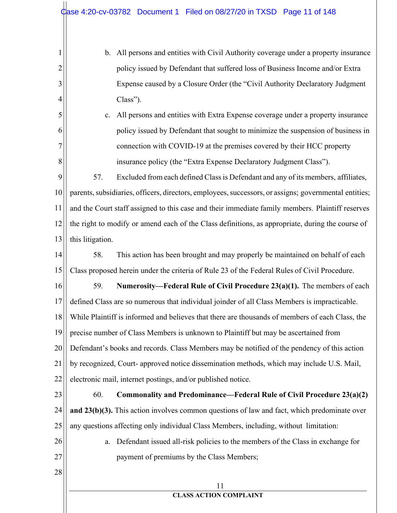b. All persons and entities with Civil Authority coverage under a property insurance  $\mathbf{1}$  $\overline{2}$ policy issued by Defendant that suffered loss of Business Income and/or Extra 3 Expense caused by a Closure Order (the "Civil Authority Declaratory Judgment 4  $Class$ "). 5 c. All persons and entities with Extra Expense coverage under a property insurance 6 policy issued by Defendant that sought to minimize the suspension of business in  $\overline{7}$ connection with COVID-19 at the premises covered by their HCC property 8 insurance policy (the "Extra Expense Declaratory Judgment Class"). 9 57. Excluded from each defined Class is Defendant and any of its members, affiliates, 10 parents, subsidiaries, officers, directors, employees, successors, or assigns; governmental entities;  $11$ and the Court staff assigned to this case and their immediate family members. Plaintiff reserves 12 the right to modify or amend each of the Class definitions, as appropriate, during the course of 13 this litigation. 14 58. This action has been brought and may properly be maintained on behalf of each 15 Class proposed herein under the criteria of Rule 23 of the Federal Rules of Civil Procedure. 16 59. Numerosity—Federal Rule of Civil Procedure 23(a)(1). The members of each defined Class are so numerous that individual joinder of all Class Members is impracticable. 17 18 While Plaintiff is informed and believes that there are thousands of members of each Class, the 19 precise number of Class Members is unknown to Plaintiff but may be ascertained from 20 Defendant's books and records. Class Members may be notified of the pendency of this action 21 by recognized, Court- approved notice dissemination methods, which may include U.S. Mail, 22 electronic mail, internet postings, and/or published notice. 23 60. Commonality and Predominance—Federal Rule of Civil Procedure 23(a)(2) 24 and  $23(b)(3)$ . This action involves common questions of law and fact, which predominate over 25 any questions affecting only individual Class Members, including, without limitation: 26 a. Defendant issued all-risk policies to the members of the Class in exchange for 27 payment of premiums by the Class Members; 28 11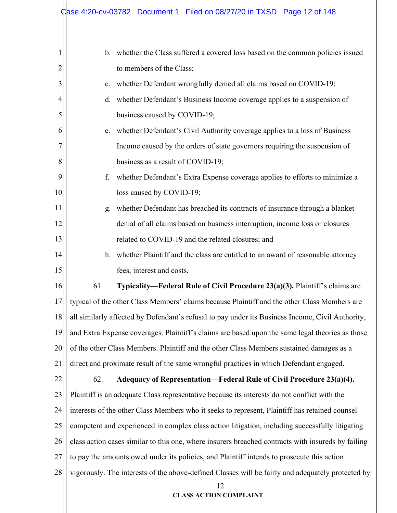| 1  |               | b. whether the Class suffered a covered loss based on the common policies issued                   |
|----|---------------|----------------------------------------------------------------------------------------------------|
| 2  |               | to members of the Class;                                                                           |
| 3  | $\mathbf{c}.$ | whether Defendant wrongfully denied all claims based on COVID-19;                                  |
| 4  | d.            | whether Defendant's Business Income coverage applies to a suspension of                            |
| 5  |               | business caused by COVID-19;                                                                       |
| 6  | e.            | whether Defendant's Civil Authority coverage applies to a loss of Business                         |
| 7  |               | Income caused by the orders of state governors requiring the suspension of                         |
| 8  |               | business as a result of COVID-19;                                                                  |
| 9  | f.            | whether Defendant's Extra Expense coverage applies to efforts to minimize a                        |
| 10 |               | loss caused by COVID-19;                                                                           |
| 11 | g.            | whether Defendant has breached its contracts of insurance through a blanket                        |
| 12 |               | denial of all claims based on business interruption, income loss or closures                       |
| 13 |               | related to COVID-19 and the related closures; and                                                  |
| 14 | h.            | whether Plaintiff and the class are entitled to an award of reasonable attorney                    |
| 15 |               | fees, interest and costs.                                                                          |
| 16 | 61.           | Typicality-Federal Rule of Civil Procedure 23(a)(3). Plaintiff's claims are                        |
| 17 |               | typical of the other Class Members' claims because Plaintiff and the other Class Members are       |
| 18 |               | all similarly affected by Defendant's refusal to pay under its Business Income, Civil Authority,   |
| 19 |               | and Extra Expense coverages. Plaintiff's claims are based upon the same legal theories as those    |
| 20 |               | of the other Class Members. Plaintiff and the other Class Members sustained damages as a           |
| 21 |               | direct and proximate result of the same wrongful practices in which Defendant engaged.             |
| 22 | 62.           | Adequacy of Representation—Federal Rule of Civil Procedure 23(a)(4).                               |
| 23 |               | Plaintiff is an adequate Class representative because its interests do not conflict with the       |
| 24 |               | interests of the other Class Members who it seeks to represent, Plaintiff has retained counsel     |
| 25 |               | competent and experienced in complex class action litigation, including successfully litigating    |
| 26 |               | class action cases similar to this one, where insurers breached contracts with insureds by failing |
| 27 |               | to pay the amounts owed under its policies, and Plaintiff intends to prosecute this action         |
| 28 |               | vigorously. The interests of the above-defined Classes will be fairly and adequately protected by  |
|    |               | 12<br><b>CLASS ACTION COMPLAINT</b>                                                                |
|    |               |                                                                                                    |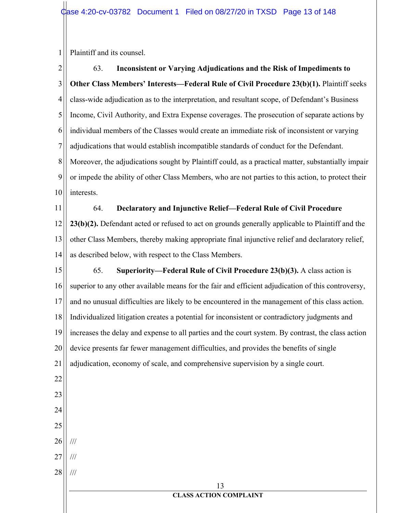$\mathbf{1}$ Plaintiff and its counsel.

 $\overline{2}$ 63. Inconsistent or Varying Adjudications and the Risk of Impediments to 3 **Other Class Members' Interests—Federal Rule of Civil Procedure 23(b)(1).** Plaintiff seeks 4 class-wide adjudication as to the interpretation, and resultant scope, of Defendant's Business 5 Income, Civil Authority, and Extra Expense coverages. The prosecution of separate actions by 6 individual members of the Classes would create an immediate risk of inconsistent or varying 7 adjudications that would establish incompatible standards of conduct for the Defendant. 8 Moreover, the adjudications sought by Plaintiff could, as a practical matter, substantially impair 9 or impede the ability of other Class Members, who are not parties to this action, to protect their 10 interests.

64. 11 Declaratory and Injunctive Relief-Federal Rule of Civil Procedure 12 23(b)(2). Defendant acted or refused to act on grounds generally applicable to Plaintiff and the 13 other Class Members, thereby making appropriate final injunctive relief and declaratory relief, 14 as described below, with respect to the Class Members.

15 65. Superiority—Federal Rule of Civil Procedure  $23(b)(3)$ . A class action is superior to any other available means for the fair and efficient adjudication of this controversy, 16 17 and no unusual difficulties are likely to be encountered in the management of this class action. 18 Individualized litigation creates a potential for inconsistent or contradictory judgments and 19 increases the delay and expense to all parties and the court system. By contrast, the class action 20 device presents far fewer management difficulties, and provides the benefits of single 21 adjudication, economy of scale, and comprehensive supervision by a single court. 22 23

- 24
- 25 26
- 27  $\frac{1}{1}$

 $\frac{1}{1}$ 

28  $\frac{1}{1}$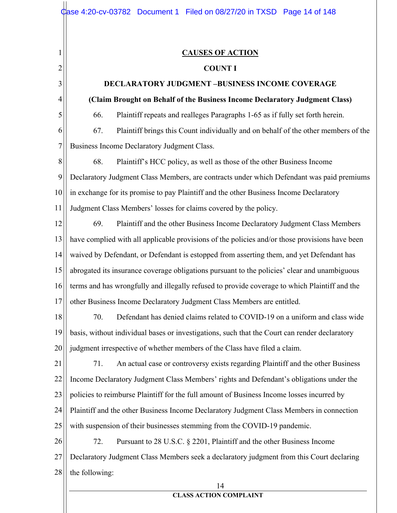$\mathbf{1}$ 

 $\overline{2}$ 

3

4

5

## **CAUSES OF ACTION**

#### **COUNT I**

# **DECLARATORY JUDGMENT -BUSINESS INCOME COVERAGE**

## (Claim Brought on Behalf of the Business Income Declaratory Judgment Class)

66. Plaintiff repeats and realleges Paragraphs 1-65 as if fully set forth herein.

6 67. Plaintiff brings this Count individually and on behalf of the other members of the  $\tau$ Business Income Declaratory Judgment Class.

8 68. Plaintiff's HCC policy, as well as those of the other Business Income 9 Declaratory Judgment Class Members, are contracts under which Defendant was paid premiums 10 in exchange for its promise to pay Plaintiff and the other Business Income Declaratory  $11$ Judgment Class Members' losses for claims covered by the policy.

12 69. Plaintiff and the other Business Income Declaratory Judgment Class Members have complied with all applicable provisions of the policies and/or those provisions have been 13 14 waived by Defendant, or Defendant is estopped from asserting them, and yet Defendant has 15 abrogated its insurance coverage obligations pursuant to the policies' clear and unambiguous 16 terms and has wrongfully and illegally refused to provide coverage to which Plaintiff and the 17 other Business Income Declaratory Judgment Class Members are entitled.

70. Defendant has denied claims related to COVID-19 on a uniform and class wide 18 19 basis, without individual bases or investigations, such that the Court can render declaratory 20 judgment irrespective of whether members of the Class have filed a claim.

21 71. An actual case or controversy exists regarding Plaintiff and the other Business 22 Income Declaratory Judgment Class Members' rights and Defendant's obligations under the 23 policies to reimburse Plaintiff for the full amount of Business Income losses incurred by 24 Plaintiff and the other Business Income Declaratory Judgment Class Members in connection 25 with suspension of their businesses stemming from the COVID-19 pandemic.

26 72. Pursuant to 28 U.S.C. § 2201, Plaintiff and the other Business Income 27 Declaratory Judgment Class Members seek a declaratory judgment from this Court declaring 28 the following:

#### 14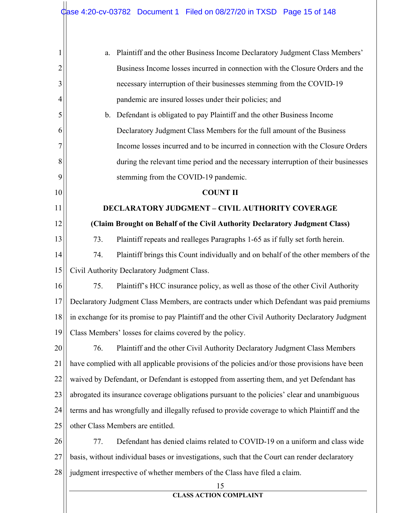| Plaintiff and the other Business Income Declaratory Judgment Class Members'<br>a.               |
|-------------------------------------------------------------------------------------------------|
| Business Income losses incurred in connection with the Closure Orders and the                   |
| necessary interruption of their businesses stemming from the COVID-19                           |
| pandemic are insured losses under their policies; and                                           |
| Defendant is obligated to pay Plaintiff and the other Business Income<br>$\mathbf{b}$ .         |
| Declaratory Judgment Class Members for the full amount of the Business                          |
| Income losses incurred and to be incurred in connection with the Closure Orders                 |
| during the relevant time period and the necessary interruption of their businesses              |
| stemming from the COVID-19 pandemic.                                                            |
| <b>COUNT II</b>                                                                                 |
| <b>DECLARATORY JUDGMENT - CIVIL AUTHORITY COVERAGE</b>                                          |
| (Claim Brought on Behalf of the Civil Authority Declaratory Judgment Class)                     |
| 73.<br>Plaintiff repeats and realleges Paragraphs 1-65 as if fully set forth herein.            |
| Plaintiff brings this Count individually and on behalf of the other members of the<br>74.       |
| Civil Authority Declaratory Judgment Class.                                                     |
| 75.<br>Plaintiff's HCC insurance policy, as well as those of the other Civil Authority          |
| Declaratory Judgment Class Members, are contracts under which Defendant was paid premiums       |
| in exchange for its promise to pay Plaintiff and the other Civil Authority Declaratory Judgment |
| Class Members' losses for claims covered by the policy.                                         |
| Plaintiff and the other Civil Authority Declaratory Judgment Class Members<br>76.               |
| have complied with all applicable provisions of the policies and/or those provisions have been  |
| waived by Defendant, or Defendant is estopped from asserting them, and yet Defendant has        |
| abrogated its insurance coverage obligations pursuant to the policies' clear and unambiguous    |
| terms and has wrongfully and illegally refused to provide coverage to which Plaintiff and the   |
| other Class Members are entitled.                                                               |
| Defendant has denied claims related to COVID-19 on a uniform and class wide<br>77.              |
| basis, without individual bases or investigations, such that the Court can render declaratory   |
| judgment irrespective of whether members of the Class have filed a claim.                       |
| 15<br><b>CLASS ACTION COMPLAINT</b>                                                             |
|                                                                                                 |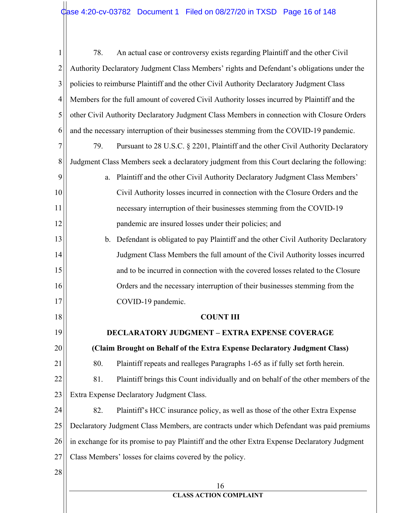| $\mathbf{1}$   | 78.                                                                                        | An actual case or controversy exists regarding Plaintiff and the other Civil                  |
|----------------|--------------------------------------------------------------------------------------------|-----------------------------------------------------------------------------------------------|
| $\overline{2}$ |                                                                                            | Authority Declaratory Judgment Class Members' rights and Defendant's obligations under the    |
| 3              |                                                                                            | policies to reimburse Plaintiff and the other Civil Authority Declaratory Judgment Class      |
| 4              |                                                                                            | Members for the full amount of covered Civil Authority losses incurred by Plaintiff and the   |
| 5              | other Civil Authority Declaratory Judgment Class Members in connection with Closure Orders |                                                                                               |
| 6              |                                                                                            | and the necessary interruption of their businesses stemming from the COVID-19 pandemic.       |
| $\overline{7}$ | 79.                                                                                        | Pursuant to 28 U.S.C. § 2201, Plaintiff and the other Civil Authority Declaratory             |
| 8              |                                                                                            | Judgment Class Members seek a declaratory judgment from this Court declaring the following:   |
| 9              | a.                                                                                         | Plaintiff and the other Civil Authority Declaratory Judgment Class Members'                   |
| 10             |                                                                                            | Civil Authority losses incurred in connection with the Closure Orders and the                 |
| 11             |                                                                                            | necessary interruption of their businesses stemming from the COVID-19                         |
| 12             |                                                                                            | pandemic are insured losses under their policies; and                                         |
| 13             |                                                                                            | b. Defendant is obligated to pay Plaintiff and the other Civil Authority Declaratory          |
| 14             |                                                                                            | Judgment Class Members the full amount of the Civil Authority losses incurred                 |
| 15             |                                                                                            | and to be incurred in connection with the covered losses related to the Closure               |
| 16             |                                                                                            | Orders and the necessary interruption of their businesses stemming from the                   |
| 17             |                                                                                            | COVID-19 pandemic.                                                                            |
| 18             |                                                                                            | <b>COUNT III</b>                                                                              |
| 19             |                                                                                            | <b>DECLARATORY JUDGMENT – EXTRA EXPENSE COVERAGE</b>                                          |
| 20             |                                                                                            | (Claim Brought on Behalf of the Extra Expense Declaratory Judgment Class)                     |
| 21             | 80.                                                                                        | Plaintiff repeats and realleges Paragraphs 1-65 as if fully set forth herein.                 |
| 22             | 81.                                                                                        | Plaintiff brings this Count individually and on behalf of the other members of the            |
| 23             |                                                                                            | Extra Expense Declaratory Judgment Class.                                                     |
| 24             | 82.                                                                                        | Plaintiff's HCC insurance policy, as well as those of the other Extra Expense                 |
| 25             |                                                                                            | Declaratory Judgment Class Members, are contracts under which Defendant was paid premiums     |
| 26             |                                                                                            | in exchange for its promise to pay Plaintiff and the other Extra Expense Declaratory Judgment |
| 27             | Class Members' losses for claims covered by the policy.                                    |                                                                                               |
| 28             |                                                                                            |                                                                                               |
|                |                                                                                            | 16<br><b>CLASS ACTION COMPLAINT</b>                                                           |
|                |                                                                                            |                                                                                               |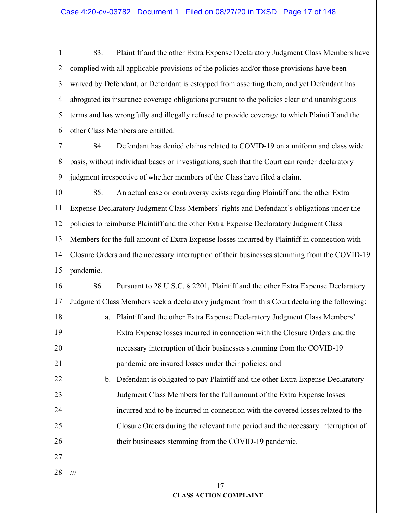$\mathbf{1}$ 83. Plaintiff and the other Extra Expense Declaratory Judgment Class Members have  $\overline{2}$ complied with all applicable provisions of the policies and/or those provisions have been waived by Defendant, or Defendant is estopped from asserting them, and yet Defendant has 3 4 abrogated its insurance coverage obligations pursuant to the policies clear and unambiguous 5 terms and has wrongfully and illegally refused to provide coverage to which Plaintiff and the other Class Members are entitled. 6

7 84. Defendant has denied claims related to COVID-19 on a uniform and class wide 8 basis, without individual bases or investigations, such that the Court can render declaratory 9 judgment irrespective of whether members of the Class have filed a claim.

10 85. An actual case or controversy exists regarding Plaintiff and the other Extra 11 Expense Declaratory Judgment Class Members' rights and Defendant's obligations under the 12 policies to reimburse Plaintiff and the other Extra Expense Declaratory Judgment Class 13 Members for the full amount of Extra Expense losses incurred by Plaintiff in connection with 14 Closure Orders and the necessary interruption of their businesses stemming from the COVID-19 15 pandemic.

16 86. Pursuant to 28 U.S.C. § 2201, Plaintiff and the other Extra Expense Declaratory 17 Judgment Class Members seek a declaratory judgment from this Court declaring the following: 18 a. Plaintiff and the other Extra Expense Declaratory Judgment Class Members' 19

Extra Expense losses incurred in connection with the Closure Orders and the necessary interruption of their businesses stemming from the COVID-19 pandemic are insured losses under their policies; and

b. Defendant is obligated to pay Plaintiff and the other Extra Expense Declaratory Judgment Class Members for the full amount of the Extra Expense losses incurred and to be incurred in connection with the covered losses related to the Closure Orders during the relevant time period and the necessary interruption of their businesses stemming from the COVID-19 pandemic.

27 28

 $\frac{1}{1}$ 

20

21

22

23

24

25

26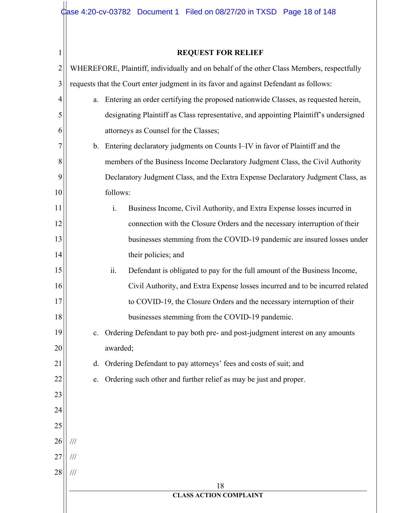| 1              |                         | <b>REQUEST FOR RELIEF</b>                                                                 |
|----------------|-------------------------|-------------------------------------------------------------------------------------------|
| $\overline{c}$ |                         | WHEREFORE, Plaintiff, individually and on behalf of the other Class Members, respectfully |
| 3              |                         | requests that the Court enter judgment in its favor and against Defendant as follows:     |
| 4              | a.                      | Entering an order certifying the proposed nationwide Classes, as requested herein,        |
| 5              |                         | designating Plaintiff as Class representative, and appointing Plaintiff's undersigned     |
| 6              |                         | attorneys as Counsel for the Classes;                                                     |
| $\overline{7}$ | b.                      | Entering declaratory judgments on Counts I–IV in favor of Plaintiff and the               |
| 8              |                         | members of the Business Income Declaratory Judgment Class, the Civil Authority            |
| 9              |                         | Declaratory Judgment Class, and the Extra Expense Declaratory Judgment Class, as          |
| 10             |                         | follows:                                                                                  |
| 11             |                         | i.<br>Business Income, Civil Authority, and Extra Expense losses incurred in              |
| 12             |                         | connection with the Closure Orders and the necessary interruption of their                |
| 13             |                         | businesses stemming from the COVID-19 pandemic are insured losses under                   |
| 14             |                         | their policies; and                                                                       |
| 15             |                         | ii.<br>Defendant is obligated to pay for the full amount of the Business Income,          |
| 16             |                         | Civil Authority, and Extra Expense losses incurred and to be incurred related             |
| 17             |                         | to COVID-19, the Closure Orders and the necessary interruption of their                   |
| 18             |                         | businesses stemming from the COVID-19 pandemic.                                           |
| 19             |                         | Ordering Defendant to pay both pre- and post-judgment interest on any amounts             |
| 20             |                         | awarded;                                                                                  |
| 21             | d.                      | Ordering Defendant to pay attorneys' fees and costs of suit; and                          |
| 22             | e.                      | Ordering such other and further relief as may be just and proper.                         |
| 23             |                         |                                                                                           |
| 24             |                         |                                                                                           |
| 25             |                         |                                                                                           |
| 26             | $^{\prime\prime\prime}$ |                                                                                           |
| 27             | $^{\prime\prime\prime}$ |                                                                                           |
| 28             | $\frac{1}{1}$           |                                                                                           |
|                |                         | 18                                                                                        |